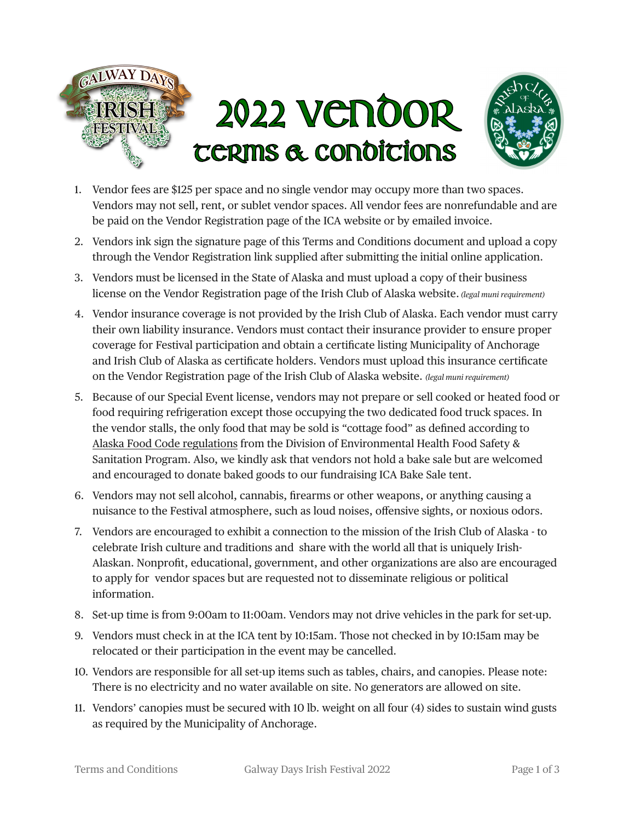

- 1. Vendor fees are \$125 per space and no single vendor may occupy more than two spaces. Vendors may not sell, rent, or sublet vendor spaces. All vendor fees are nonrefundable and are be paid on the Vendor Registration page of the ICA website or by emailed invoice.
- 2. Vendors ink sign the signature page of this Terms and Conditions document and upload a copy through the Vendor Registration link supplied after submitting the initial online application.
- 3. Vendors must be licensed in the State of Alaska and must upload a copy of their business license on the Vendor Registration page of the Irish Club of Alaska website. *(legal muni requirement)*
- 4. Vendor insurance coverage is not provided by the Irish Club of Alaska. Each vendor must carry their own liability insurance. Vendors must contact their insurance provider to ensure proper coverage for Festival participation and obtain a certificate listing Municipality of Anchorage and Irish Club of Alaska as certificate holders. Vendors must upload this insurance certificate on the Vendor Registration page of the Irish Club of Alaska website. *(legal muni requirement)*
- 5. Because of our Special Event license, vendors may not prepare or sell cooked or heated food or food requiring refrigeration except those occupying the two dedicated food truck spaces. In the vendor stalls, the only food that may be sold is "cottage food" as defined according to [Alaska Food Code regulations](https://dec.alaska.gov/eh/fss/food/retail/cottage-food/) from the Division of Environmental Health Food Safety & Sanitation Program. Also, we kindly ask that vendors not hold a bake sale but are welcomed and encouraged to donate baked goods to our fundraising ICA Bake Sale tent.
- 6. Vendors may not sell alcohol, cannabis, firearms or other weapons, or anything causing a nuisance to the Festival atmosphere, such as loud noises, offensive sights, or noxious odors.
- 7. Vendors are encouraged to exhibit a connection to the mission of the Irish Club of Alaska to celebrate Irish culture and traditions and share with the world all that is uniquely Irish-Alaskan. Nonprofit, educational, government, and other organizations are also are encouraged to apply for vendor spaces but are requested not to disseminate religious or political information.
- 8. Set-up time is from 9:00am to 11:00am. Vendors may not drive vehicles in the park for set-up.
- 9. Vendors must check in at the ICA tent by 10:15am. Those not checked in by 10:15am may be relocated or their participation in the event may be cancelled.
- 10. Vendors are responsible for all set-up items such as tables, chairs, and canopies. Please note: There is no electricity and no water available on site. No generators are allowed on site.
- 11. Vendors' canopies must be secured with 10 lb. weight on all four (4) sides to sustain wind gusts as required by the Municipality of Anchorage.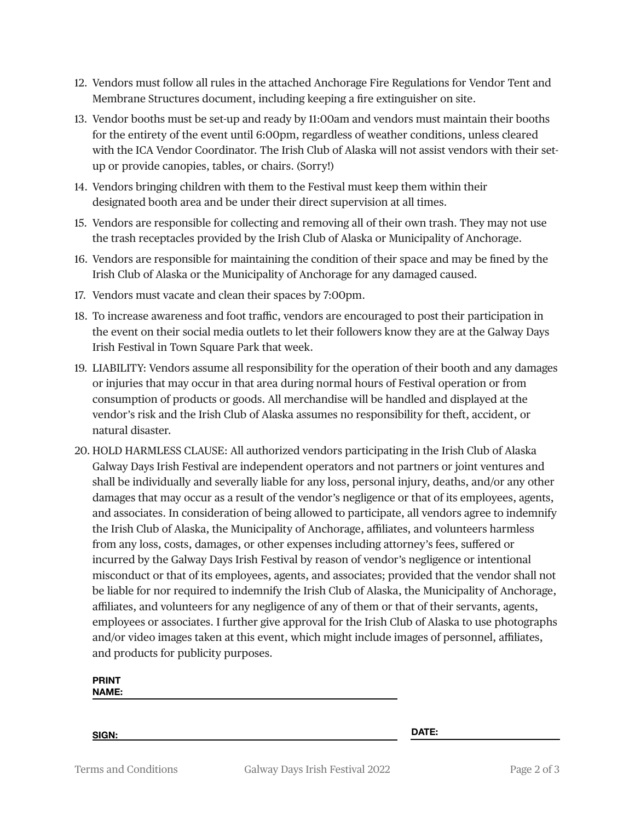- 12. Vendors must follow all rules in the attached Anchorage Fire Regulations for Vendor Tent and Membrane Structures document, including keeping a fire extinguisher on site.
- 13. Vendor booths must be set-up and ready by 11:00am and vendors must maintain their booths for the entirety of the event until 6:00pm, regardless of weather conditions, unless cleared with the ICA Vendor Coordinator. The Irish Club of Alaska will not assist vendors with their setup or provide canopies, tables, or chairs. (Sorry!)
- 14. Vendors bringing children with them to the Festival must keep them within their designated booth area and be under their direct supervision at all times.
- 15. Vendors are responsible for collecting and removing all of their own trash. They may not use the trash receptacles provided by the Irish Club of Alaska or Municipality of Anchorage.
- 16. Vendors are responsible for maintaining the condition of their space and may be fined by the Irish Club of Alaska or the Municipality of Anchorage for any damaged caused.
- 17. Vendors must vacate and clean their spaces by 7:00pm.
- 18. To increase awareness and foot traffic, vendors are encouraged to post their participation in the event on their social media outlets to let their followers know they are at the Galway Days Irish Festival in Town Square Park that week.
- 19. LIABILITY: Vendors assume all responsibility for the operation of their booth and any damages or injuries that may occur in that area during normal hours of Festival operation or from consumption of products or goods. All merchandise will be handled and displayed at the vendor's risk and the Irish Club of Alaska assumes no responsibility for theft, accident, or natural disaster.
- 20. HOLD HARMLESS CLAUSE: All authorized vendors participating in the Irish Club of Alaska Galway Days Irish Festival are independent operators and not partners or joint ventures and shall be individually and severally liable for any loss, personal injury, deaths, and/or any other damages that may occur as a result of the vendor's negligence or that of its employees, agents, and associates. In consideration of being allowed to participate, all vendors agree to indemnify the Irish Club of Alaska, the Municipality of Anchorage, affiliates, and volunteers harmless from any loss, costs, damages, or other expenses including attorney's fees, suffered or incurred by the Galway Days Irish Festival by reason of vendor's negligence or intentional misconduct or that of its employees, agents, and associates; provided that the vendor shall not be liable for nor required to indemnify the Irish Club of Alaska, the Municipality of Anchorage, affiliates, and volunteers for any negligence of any of them or that of their servants, agents, employees or associates. I further give approval for the Irish Club of Alaska to use photographs and/or video images taken at this event, which might include images of personnel, affiliates, and products for publicity purposes.

**PRINT NAME:**

**SIGN: DATE:**